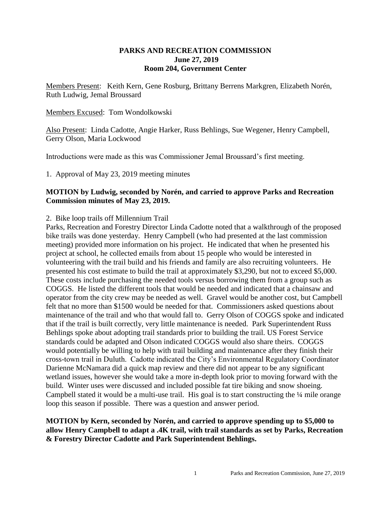#### **PARKS AND RECREATION COMMISSION June 27, 2019 Room 204, Government Center**

Members Present: Keith Kern, Gene Rosburg, Brittany Berrens Markgren, Elizabeth Norén, Ruth Ludwig, Jemal Broussard

#### Members Excused: Tom Wondolkowski

Also Present: Linda Cadotte, Angie Harker, Russ Behlings, Sue Wegener, Henry Campbell, Gerry Olson, Maria Lockwood

Introductions were made as this was Commissioner Jemal Broussard's first meeting.

1. Approval of May 23, 2019 meeting minutes

#### **MOTION by Ludwig, seconded by Norén, and carried to approve Parks and Recreation Commission minutes of May 23, 2019.**

#### 2. Bike loop trails off Millennium Trail

Parks, Recreation and Forestry Director Linda Cadotte noted that a walkthrough of the proposed bike trails was done yesterday. Henry Campbell (who had presented at the last commission meeting) provided more information on his project. He indicated that when he presented his project at school, he collected emails from about 15 people who would be interested in volunteering with the trail build and his friends and family are also recruiting volunteers. He presented his cost estimate to build the trail at approximately \$3,290, but not to exceed \$5,000. These costs include purchasing the needed tools versus borrowing them from a group such as COGGS. He listed the different tools that would be needed and indicated that a chainsaw and operator from the city crew may be needed as well. Gravel would be another cost, but Campbell felt that no more than \$1500 would be needed for that. Commissioners asked questions about maintenance of the trail and who that would fall to. Gerry Olson of COGGS spoke and indicated that if the trail is built correctly, very little maintenance is needed. Park Superintendent Russ Behlings spoke about adopting trail standards prior to building the trail. US Forest Service standards could be adapted and Olson indicated COGGS would also share theirs. COGGS would potentially be willing to help with trail building and maintenance after they finish their cross-town trail in Duluth. Cadotte indicated the City's Environmental Regulatory Coordinator Darienne McNamara did a quick map review and there did not appear to be any significant wetland issues, however she would take a more in-depth look prior to moving forward with the build. Winter uses were discussed and included possible fat tire biking and snow shoeing. Campbell stated it would be a multi-use trail. His goal is to start constructing the ¼ mile orange loop this season if possible. There was a question and answer period.

### **MOTION by Kern, seconded by Norén, and carried to approve spending up to \$5,000 to allow Henry Campbell to adapt a .4K trail, with trail standards as set by Parks, Recreation & Forestry Director Cadotte and Park Superintendent Behlings.**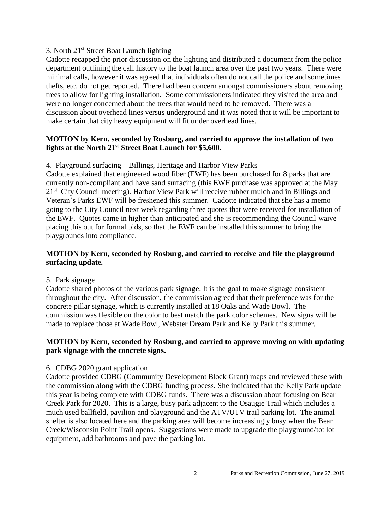### 3. North 21st Street Boat Launch lighting

Cadotte recapped the prior discussion on the lighting and distributed a document from the police department outlining the call history to the boat launch area over the past two years. There were minimal calls, however it was agreed that individuals often do not call the police and sometimes thefts, etc. do not get reported. There had been concern amongst commissioners about removing trees to allow for lighting installation. Some commissioners indicated they visited the area and were no longer concerned about the trees that would need to be removed. There was a discussion about overhead lines versus underground and it was noted that it will be important to make certain that city heavy equipment will fit under overhead lines.

# **MOTION by Kern, seconded by Rosburg, and carried to approve the installation of two lights at the North 21st Street Boat Launch for \$5,600.**

#### 4. Playground surfacing – Billings, Heritage and Harbor View Parks

Cadotte explained that engineered wood fiber (EWF) has been purchased for 8 parks that are currently non-compliant and have sand surfacing (this EWF purchase was approved at the May 21<sup>st</sup> City Council meeting). Harbor View Park will receive rubber mulch and in Billings and Veteran's Parks EWF will be freshened this summer. Cadotte indicated that she has a memo going to the City Council next week regarding three quotes that were received for installation of the EWF. Quotes came in higher than anticipated and she is recommending the Council waive placing this out for formal bids, so that the EWF can be installed this summer to bring the playgrounds into compliance.

# **MOTION by Kern, seconded by Rosburg, and carried to receive and file the playground surfacing update.**

#### 5. Park signage

Cadotte shared photos of the various park signage. It is the goal to make signage consistent throughout the city. After discussion, the commission agreed that their preference was for the concrete pillar signage, which is currently installed at 18 Oaks and Wade Bowl. The commission was flexible on the color to best match the park color schemes. New signs will be made to replace those at Wade Bowl, Webster Dream Park and Kelly Park this summer.

# **MOTION by Kern, seconded by Rosburg, and carried to approve moving on with updating park signage with the concrete signs.**

# 6. CDBG 2020 grant application

Cadotte provided CDBG (Community Development Block Grant) maps and reviewed these with the commission along with the CDBG funding process. She indicated that the Kelly Park update this year is being complete with CDBG funds. There was a discussion about focusing on Bear Creek Park for 2020. This is a large, busy park adjacent to the Osaugie Trail which includes a much used ballfield, pavilion and playground and the ATV/UTV trail parking lot. The animal shelter is also located here and the parking area will become increasingly busy when the Bear Creek/Wisconsin Point Trail opens. Suggestions were made to upgrade the playground/tot lot equipment, add bathrooms and pave the parking lot.